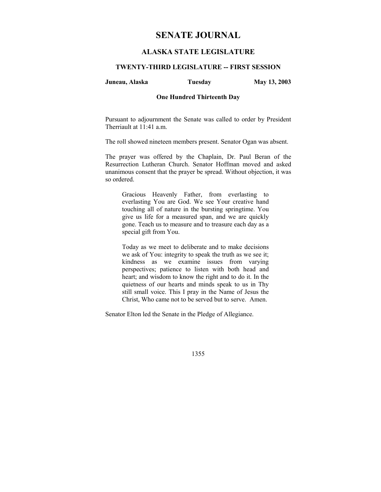# **SENATE JOURNAL**

# **ALASKA STATE LEGISLATURE**

## **TWENTY-THIRD LEGISLATURE -- FIRST SESSION**

#### **Juneau, Alaska Tuesday May 13, 2003**

#### **One Hundred Thirteenth Day**

Pursuant to adjournment the Senate was called to order by President Therriault at 11:41 a.m.

The roll showed nineteen members present. Senator Ogan was absent.

The prayer was offered by the Chaplain, Dr. Paul Beran of the Resurrection Lutheran Church. Senator Hoffman moved and asked unanimous consent that the prayer be spread. Without objection, it was so ordered.

Gracious Heavenly Father, from everlasting to everlasting You are God. We see Your creative hand touching all of nature in the bursting springtime. You give us life for a measured span, and we are quickly gone. Teach us to measure and to treasure each day as a special gift from You.

Today as we meet to deliberate and to make decisions we ask of You: integrity to speak the truth as we see it; kindness as we examine issues from varying perspectives; patience to listen with both head and heart; and wisdom to know the right and to do it. In the quietness of our hearts and minds speak to us in Thy still small voice. This I pray in the Name of Jesus the Christ, Who came not to be served but to serve. Amen.

Senator Elton led the Senate in the Pledge of Allegiance.

1355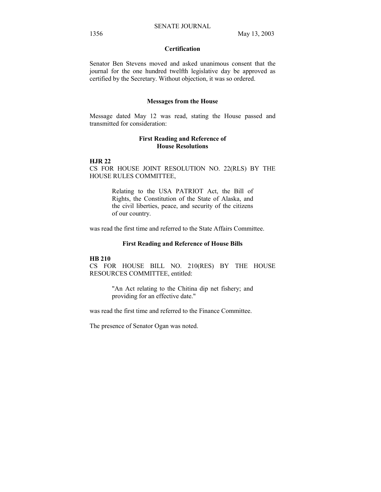# **Certification**

Senator Ben Stevens moved and asked unanimous consent that the journal for the one hundred twelfth legislative day be approved as certified by the Secretary. Without objection, it was so ordered.

#### **Messages from the House**

Message dated May 12 was read, stating the House passed and transmitted for consideration:

## **First Reading and Reference of House Resolutions**

#### **HJR 22**

CS FOR HOUSE JOINT RESOLUTION NO. 22(RLS) BY THE HOUSE RULES COMMITTEE,

> Relating to the USA PATRIOT Act, the Bill of Rights, the Constitution of the State of Alaska, and the civil liberties, peace, and security of the citizens of our country.

was read the first time and referred to the State Affairs Committee.

#### **First Reading and Reference of House Bills**

#### **HB 210**

CS FOR HOUSE BILL NO. 210(RES) BY THE HOUSE RESOURCES COMMITTEE, entitled:

> "An Act relating to the Chitina dip net fishery; and providing for an effective date."

was read the first time and referred to the Finance Committee.

The presence of Senator Ogan was noted.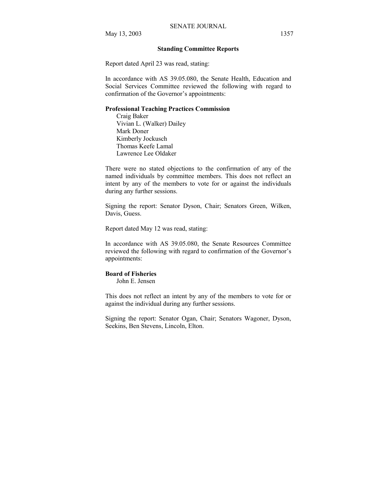#### **Standing Committee Reports**

Report dated April 23 was read, stating:

In accordance with AS 39.05.080, the Senate Health, Education and Social Services Committee reviewed the following with regard to confirmation of the Governor's appointments:

#### **Professional Teaching Practices Commission**

 Craig Baker Vivian L. (Walker) Dailey Mark Doner Kimberly Jockusch Thomas Keefe Lamal Lawrence Lee Oldaker

There were no stated objections to the confirmation of any of the named individuals by committee members. This does not reflect an intent by any of the members to vote for or against the individuals during any further sessions.

Signing the report: Senator Dyson, Chair; Senators Green, Wilken, Davis, Guess.

Report dated May 12 was read, stating:

In accordance with AS 39.05.080, the Senate Resources Committee reviewed the following with regard to confirmation of the Governor's appointments:

#### **Board of Fisheries**

John E. Jensen

This does not reflect an intent by any of the members to vote for or against the individual during any further sessions.

Signing the report: Senator Ogan, Chair; Senators Wagoner, Dyson, Seekins, Ben Stevens, Lincoln, Elton.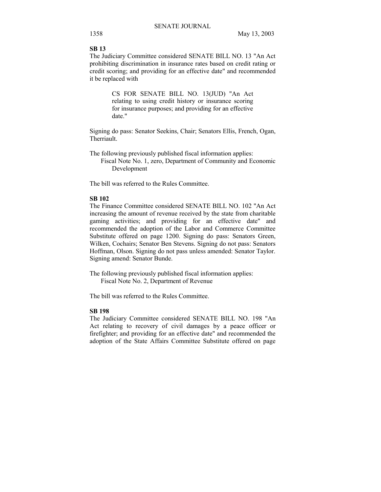# **SB 13**

The Judiciary Committee considered SENATE BILL NO. 13 "An Act prohibiting discrimination in insurance rates based on credit rating or credit scoring; and providing for an effective date" and recommended it be replaced with

> CS FOR SENATE BILL NO. 13(JUD) "An Act relating to using credit history or insurance scoring for insurance purposes; and providing for an effective date."

Signing do pass: Senator Seekins, Chair; Senators Ellis, French, Ogan, Therriault.

The following previously published fiscal information applies: Fiscal Note No. 1, zero, Department of Community and Economic Development

The bill was referred to the Rules Committee.

#### **SB 102**

The Finance Committee considered SENATE BILL NO. 102 "An Act increasing the amount of revenue received by the state from charitable gaming activities; and providing for an effective date" and recommended the adoption of the Labor and Commerce Committee Substitute offered on page 1200. Signing do pass: Senators Green, Wilken, Cochairs; Senator Ben Stevens. Signing do not pass: Senators Hoffman, Olson. Signing do not pass unless amended: Senator Taylor. Signing amend: Senator Bunde.

The following previously published fiscal information applies: Fiscal Note No. 2, Department of Revenue

The bill was referred to the Rules Committee.

# **SB 198**

The Judiciary Committee considered SENATE BILL NO. 198 "An Act relating to recovery of civil damages by a peace officer or firefighter; and providing for an effective date" and recommended the adoption of the State Affairs Committee Substitute offered on page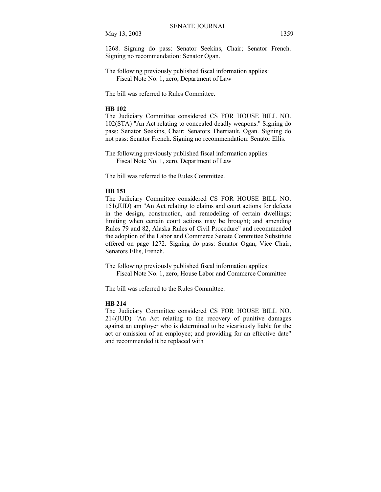May 13, 2003 1359

1268. Signing do pass: Senator Seekins, Chair; Senator French. Signing no recommendation: Senator Ogan.

The following previously published fiscal information applies: Fiscal Note No. 1, zero, Department of Law

The bill was referred to Rules Committee.

#### **HB 102**

The Judiciary Committee considered CS FOR HOUSE BILL NO. 102(STA) "An Act relating to concealed deadly weapons." Signing do pass: Senator Seekins, Chair; Senators Therriault, Ogan. Signing do not pass: Senator French. Signing no recommendation: Senator Ellis.

The following previously published fiscal information applies: Fiscal Note No. 1, zero, Department of Law

The bill was referred to the Rules Committee.

## **HB 151**

The Judiciary Committee considered CS FOR HOUSE BILL NO. 151(JUD) am "An Act relating to claims and court actions for defects in the design, construction, and remodeling of certain dwellings; limiting when certain court actions may be brought; and amending Rules 79 and 82, Alaska Rules of Civil Procedure" and recommended the adoption of the Labor and Commerce Senate Committee Substitute offered on page 1272. Signing do pass: Senator Ogan, Vice Chair; Senators Ellis, French.

The following previously published fiscal information applies: Fiscal Note No. 1, zero, House Labor and Commerce Committee

The bill was referred to the Rules Committee.

## **HB 214**

The Judiciary Committee considered CS FOR HOUSE BILL NO. 214(JUD) "An Act relating to the recovery of punitive damages against an employer who is determined to be vicariously liable for the act or omission of an employee; and providing for an effective date" and recommended it be replaced with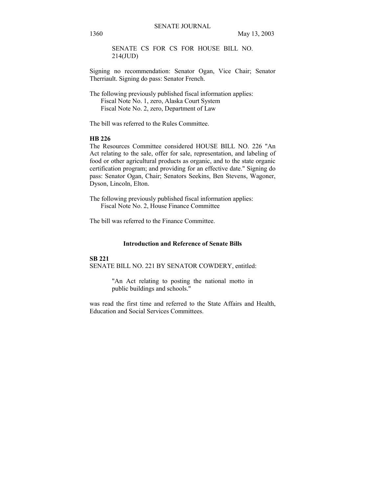SENATE CS FOR CS FOR HOUSE BILL NO. 214(JUD)

Signing no recommendation: Senator Ogan, Vice Chair; Senator Therriault. Signing do pass: Senator French.

The following previously published fiscal information applies: Fiscal Note No. 1, zero, Alaska Court System Fiscal Note No. 2, zero, Department of Law

The bill was referred to the Rules Committee.

# **HB 226**

The Resources Committee considered HOUSE BILL NO. 226 "An Act relating to the sale, offer for sale, representation, and labeling of food or other agricultural products as organic, and to the state organic certification program; and providing for an effective date." Signing do pass: Senator Ogan, Chair; Senators Seekins, Ben Stevens, Wagoner, Dyson, Lincoln, Elton.

The following previously published fiscal information applies: Fiscal Note No. 2, House Finance Committee

The bill was referred to the Finance Committee.

#### **Introduction and Reference of Senate Bills**

#### **SB 221**

SENATE BILL NO. 221 BY SENATOR COWDERY, entitled:

"An Act relating to posting the national motto in public buildings and schools."

was read the first time and referred to the State Affairs and Health, Education and Social Services Committees.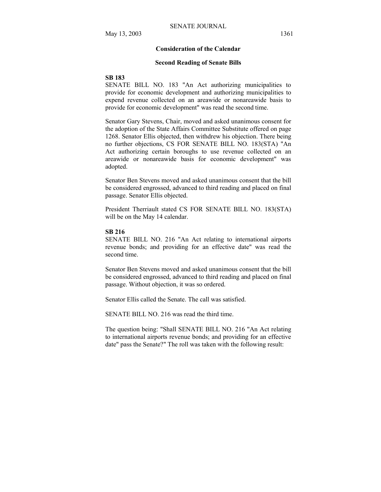#### **Consideration of the Calendar**

#### **Second Reading of Senate Bills**

#### **SB 183**

SENATE BILL NO. 183 "An Act authorizing municipalities to provide for economic development and authorizing municipalities to expend revenue collected on an areawide or nonareawide basis to provide for economic development" was read the second time.

Senator Gary Stevens, Chair, moved and asked unanimous consent for the adoption of the State Affairs Committee Substitute offered on page 1268. Senator Ellis objected, then withdrew his objection. There being no further objections, CS FOR SENATE BILL NO. 183(STA) "An Act authorizing certain boroughs to use revenue collected on an areawide or nonareawide basis for economic development" was adopted.

Senator Ben Stevens moved and asked unanimous consent that the bill be considered engrossed, advanced to third reading and placed on final passage. Senator Ellis objected.

President Therriault stated CS FOR SENATE BILL NO. 183(STA) will be on the May 14 calendar.

#### **SB 216**

SENATE BILL NO. 216 "An Act relating to international airports revenue bonds; and providing for an effective date" was read the second time.

Senator Ben Stevens moved and asked unanimous consent that the bill be considered engrossed, advanced to third reading and placed on final passage. Without objection, it was so ordered.

Senator Ellis called the Senate. The call was satisfied.

SENATE BILL NO. 216 was read the third time.

The question being: "Shall SENATE BILL NO. 216 "An Act relating to international airports revenue bonds; and providing for an effective date" pass the Senate?" The roll was taken with the following result: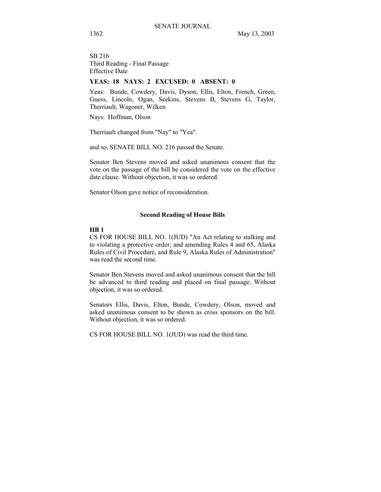SB 216 Third Reading - Final Passage Effective Date

# **YEAS: 18 NAYS: 2 EXCUSED: 0 ABSENT: 0**

Yeas: Bunde, Cowdery, Davis, Dyson, Ellis, Elton, French, Green, Guess, Lincoln, Ogan, Seekins, Stevens B, Stevens G, Taylor, Therriault, Wagoner, Wilken

Nays: Hoffman, Olson

Therriault changed from "Nay" to "Yea".

and so, SENATE BILL NO. 216 passed the Senate.

Senator Ben Stevens moved and asked unanimous consent that the vote on the passage of the bill be considered the vote on the effective date clause. Without objection, it was so ordered.

Senator Olson gave notice of reconsideration.

#### **Second Reading of House Bills**

#### **HB 1**

CS FOR HOUSE BILL NO. 1(JUD) "An Act relating to stalking and to violating a protective order; and amending Rules 4 and 65, Alaska Rules of Civil Procedure, and Rule 9, Alaska Rules of Administration" was read the second time.

Senator Ben Stevens moved and asked unanimous consent that the bill be advanced to third reading and placed on final passage. Without objection, it was so ordered.

Senators Ellis, Davis, Elton, Bunde, Cowdery, Olson, moved and asked unanimous consent to be shown as cross sponsors on the bill. Without objection, it was so ordered.

CS FOR HOUSE BILL NO. 1(JUD) was read the third time.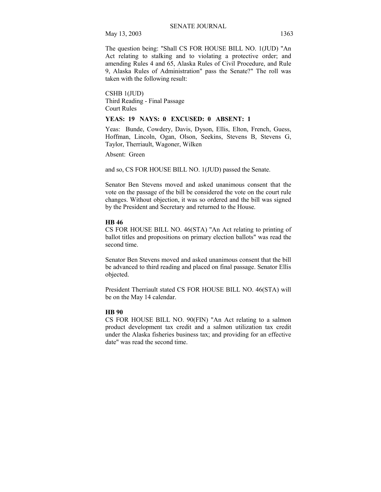May 13, 2003 1363

The question being: "Shall CS FOR HOUSE BILL NO. 1(JUD) "An Act relating to stalking and to violating a protective order; and amending Rules 4 and 65, Alaska Rules of Civil Procedure, and Rule 9, Alaska Rules of Administration" pass the Senate?" The roll was taken with the following result:

CSHB 1(JUD) Third Reading - Final Passage Court Rules

#### **YEAS: 19 NAYS: 0 EXCUSED: 0 ABSENT: 1**

Yeas: Bunde, Cowdery, Davis, Dyson, Ellis, Elton, French, Guess, Hoffman, Lincoln, Ogan, Olson, Seekins, Stevens B, Stevens G, Taylor, Therriault, Wagoner, Wilken

Absent: Green

and so, CS FOR HOUSE BILL NO. 1(JUD) passed the Senate.

Senator Ben Stevens moved and asked unanimous consent that the vote on the passage of the bill be considered the vote on the court rule changes. Without objection, it was so ordered and the bill was signed by the President and Secretary and returned to the House.

#### **HB 46**

CS FOR HOUSE BILL NO. 46(STA) "An Act relating to printing of ballot titles and propositions on primary election ballots" was read the second time.

Senator Ben Stevens moved and asked unanimous consent that the bill be advanced to third reading and placed on final passage. Senator Ellis objected.

President Therriault stated CS FOR HOUSE BILL NO. 46(STA) will be on the May 14 calendar.

## **HB 90**

CS FOR HOUSE BILL NO. 90(FIN) "An Act relating to a salmon product development tax credit and a salmon utilization tax credit under the Alaska fisheries business tax; and providing for an effective date" was read the second time.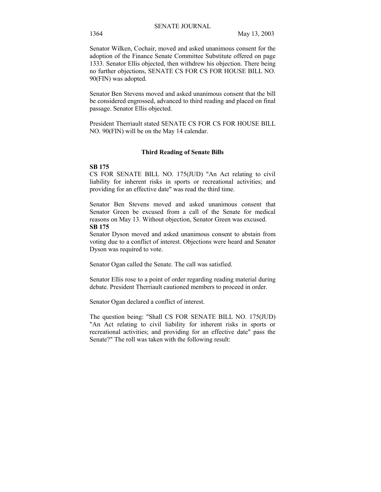Senator Wilken, Cochair, moved and asked unanimous consent for the adoption of the Finance Senate Committee Substitute offered on page 1333. Senator Ellis objected, then withdrew his objection. There being no further objections, SENATE CS FOR CS FOR HOUSE BILL NO. 90(FIN) was adopted.

Senator Ben Stevens moved and asked unanimous consent that the bill be considered engrossed, advanced to third reading and placed on final passage. Senator Ellis objected.

President Therriault stated SENATE CS FOR CS FOR HOUSE BILL NO. 90(FIN) will be on the May 14 calendar.

#### **Third Reading of Senate Bills**

#### **SB 175**

CS FOR SENATE BILL NO. 175(JUD) "An Act relating to civil liability for inherent risks in sports or recreational activities; and providing for an effective date" was read the third time.

Senator Ben Stevens moved and asked unanimous consent that Senator Green be excused from a call of the Senate for medical reasons on May 13. Without objection, Senator Green was excused. **SB 175** 

Senator Dyson moved and asked unanimous consent to abstain from voting due to a conflict of interest. Objections were heard and Senator Dyson was required to vote.

Senator Ogan called the Senate. The call was satisfied.

Senator Ellis rose to a point of order regarding reading material during debate. President Therriault cautioned members to proceed in order.

Senator Ogan declared a conflict of interest.

The question being: "Shall CS FOR SENATE BILL NO. 175(JUD) "An Act relating to civil liability for inherent risks in sports or recreational activities; and providing for an effective date" pass the Senate?" The roll was taken with the following result: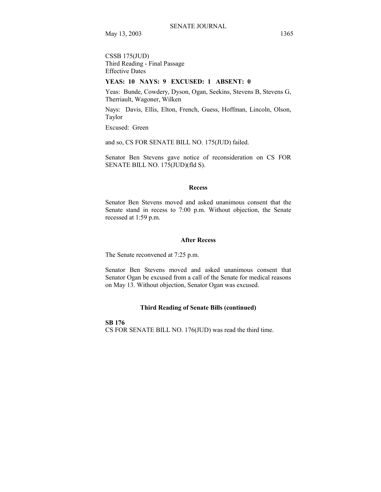CSSB 175(JUD) Third Reading - Final Passage Effective Dates

# **YEAS: 10 NAYS: 9 EXCUSED: 1 ABSENT: 0**

Yeas: Bunde, Cowdery, Dyson, Ogan, Seekins, Stevens B, Stevens G, Therriault, Wagoner, Wilken

Nays: Davis, Ellis, Elton, French, Guess, Hoffman, Lincoln, Olson, Taylor

Excused: Green

and so, CS FOR SENATE BILL NO. 175(JUD) failed.

Senator Ben Stevens gave notice of reconsideration on CS FOR SENATE BILL NO. 175(JUD)(fld S).

#### **Recess**

Senator Ben Stevens moved and asked unanimous consent that the Senate stand in recess to 7:00 p.m. Without objection, the Senate recessed at 1:59 p.m.

#### **After Recess**

The Senate reconvened at 7:25 p.m.

Senator Ben Stevens moved and asked unanimous consent that Senator Ogan be excused from a call of the Senate for medical reasons on May 13. Without objection, Senator Ogan was excused.

## **Third Reading of Senate Bills (continued)**

**SB 176**  CS FOR SENATE BILL NO. 176(JUD) was read the third time.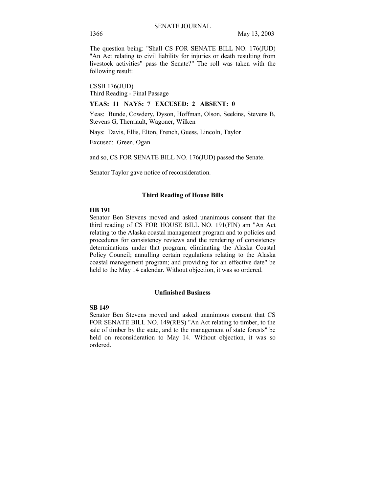The question being: "Shall CS FOR SENATE BILL NO. 176(JUD) "An Act relating to civil liability for injuries or death resulting from livestock activities" pass the Senate?" The roll was taken with the following result:

CSSB 176(JUD) Third Reading - Final Passage

#### **YEAS: 11 NAYS: 7 EXCUSED: 2 ABSENT: 0**

Yeas: Bunde, Cowdery, Dyson, Hoffman, Olson, Seekins, Stevens B, Stevens G, Therriault, Wagoner, Wilken

Nays: Davis, Ellis, Elton, French, Guess, Lincoln, Taylor

Excused: Green, Ogan

and so, CS FOR SENATE BILL NO. 176(JUD) passed the Senate.

Senator Taylor gave notice of reconsideration.

#### **Third Reading of House Bills**

#### **HB 191**

Senator Ben Stevens moved and asked unanimous consent that the third reading of CS FOR HOUSE BILL NO. 191(FIN) am "An Act relating to the Alaska coastal management program and to policies and procedures for consistency reviews and the rendering of consistency determinations under that program; eliminating the Alaska Coastal Policy Council; annulling certain regulations relating to the Alaska coastal management program; and providing for an effective date" be held to the May 14 calendar. Without objection, it was so ordered.

#### **Unfinished Business**

## **SB 149**

Senator Ben Stevens moved and asked unanimous consent that CS FOR SENATE BILL NO. 149(RES) "An Act relating to timber, to the sale of timber by the state, and to the management of state forests" be held on reconsideration to May 14. Without objection, it was so ordered.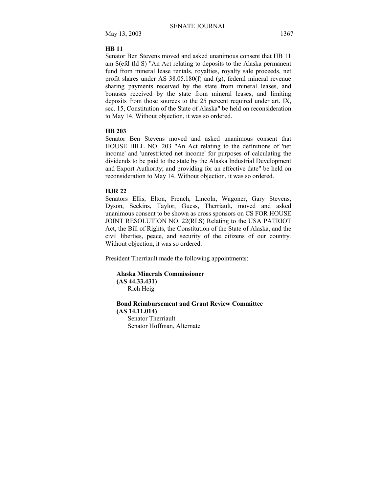#### **HB 11**

Senator Ben Stevens moved and asked unanimous consent that HB 11 am S(efd fld S) "An Act relating to deposits to the Alaska permanent fund from mineral lease rentals, royalties, royalty sale proceeds, net profit shares under AS 38.05.180(f) and (g), federal mineral revenue sharing payments received by the state from mineral leases, and bonuses received by the state from mineral leases, and limiting deposits from those sources to the 25 percent required under art. IX, sec. 15, Constitution of the State of Alaska" be held on reconsideration to May 14. Without objection, it was so ordered.

#### **HB 203**

Senator Ben Stevens moved and asked unanimous consent that HOUSE BILL NO. 203 "An Act relating to the definitions of 'net income' and 'unrestricted net income' for purposes of calculating the dividends to be paid to the state by the Alaska Industrial Development and Export Authority; and providing for an effective date" be held on reconsideration to May 14. Without objection, it was so ordered.

## **HJR 22**

Senators Ellis, Elton, French, Lincoln, Wagoner, Gary Stevens, Dyson, Seekins, Taylor, Guess, Therriault, moved and asked unanimous consent to be shown as cross sponsors on CS FOR HOUSE JOINT RESOLUTION NO. 22(RLS) Relating to the USA PATRIOT Act, the Bill of Rights, the Constitution of the State of Alaska, and the civil liberties, peace, and security of the citizens of our country. Without objection, it was so ordered.

President Therriault made the following appointments:

**Alaska Minerals Commissioner (AS 44.33.431)** Rich Heig

# **Bond Reimbursement and Grant Review Committee (AS 14.11.014)**

Senator Therriault Senator Hoffman, Alternate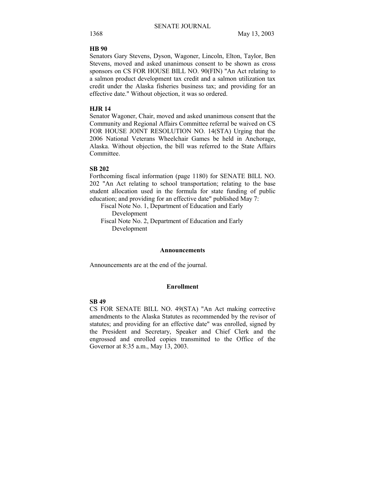#### **HB 90**

Senators Gary Stevens, Dyson, Wagoner, Lincoln, Elton, Taylor, Ben Stevens, moved and asked unanimous consent to be shown as cross sponsors on CS FOR HOUSE BILL NO. 90(FIN) "An Act relating to a salmon product development tax credit and a salmon utilization tax credit under the Alaska fisheries business tax; and providing for an effective date." Without objection, it was so ordered.

#### **HJR 14**

Senator Wagoner, Chair, moved and asked unanimous consent that the Community and Regional Affairs Committee referral be waived on CS FOR HOUSE JOINT RESOLUTION NO. 14(STA) Urging that the 2006 National Veterans Wheelchair Games be held in Anchorage, Alaska. Without objection, the bill was referred to the State Affairs Committee.

## **SB 202**

Forthcoming fiscal information (page 1180) for SENATE BILL NO. 202 "An Act relating to school transportation; relating to the base student allocation used in the formula for state funding of public education; and providing for an effective date" published May 7:

 Fiscal Note No. 1, Department of Education and Early Development

 Fiscal Note No. 2, Department of Education and Early Development

#### **Announcements**

Announcements are at the end of the journal.

#### **Enrollment**

## **SB 49**

CS FOR SENATE BILL NO. 49(STA) "An Act making corrective amendments to the Alaska Statutes as recommended by the revisor of statutes; and providing for an effective date" was enrolled, signed by the President and Secretary, Speaker and Chief Clerk and the engrossed and enrolled copies transmitted to the Office of the Governor at 8:35 a.m., May 13, 2003.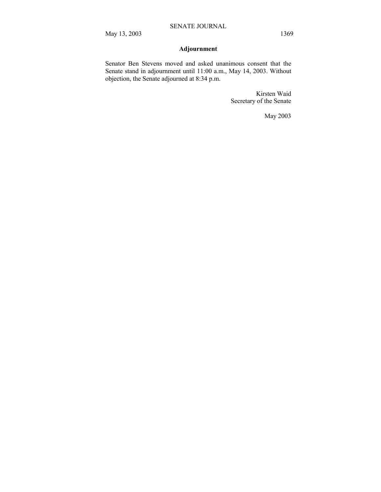# **Adjournment**

Senator Ben Stevens moved and asked unanimous consent that the Senate stand in adjournment until 11:00 a.m., May 14, 2003. Without objection, the Senate adjourned at 8:34 p.m.

> Kirsten Waid Secretary of the Senate

> > May 2003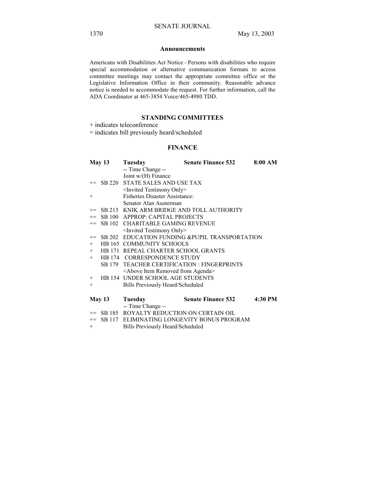#### **Announcements**

Americans with Disabilities Act Notice - Persons with disabilities who require special accommodation or alternative communication formats to access committee meetings may contact the appropriate committee office or the Legislative Information Office in their community. Reasonable advance notice is needed to accommodate the request. For further information, call the ADA Coordinator at 465-3854 Voice/465-4980 TDD.

# **STANDING COMMITTEES**

+ indicates teleconference

= indicates bill previously heard/scheduled

## **FINANCE**

|        | May 13 | Tuesday                                              | <b>Senate Finance 532</b>                          | 8:00 AM |
|--------|--------|------------------------------------------------------|----------------------------------------------------|---------|
|        |        | -- Time Change --                                    |                                                    |         |
|        |        | Joint $w/(H)$ Finance                                |                                                    |         |
|        |        | += SB 220 STATE SALES AND USE TAX                    |                                                    |         |
|        |        | <invited only="" testimony=""></invited>             |                                                    |         |
| $^{+}$ |        | <b>Fisheries Disaster Assistance:</b>                |                                                    |         |
|        |        | Senator Alan Austerman                               |                                                    |         |
|        |        |                                                      | += SB 213 KNIK ARM BRIDGE AND TOLL AUTHORITY       |         |
|        |        | += SB 100 APPROP: CAPITAL PROJECTS                   |                                                    |         |
|        |        | += SB 102 CHARITABLE GAMING REVENUE                  |                                                    |         |
|        |        | <invited only="" testimony=""></invited>             |                                                    |         |
|        |        |                                                      | += SB 202 EDUCATION FUNDING & PUPIL TRANSPORTATION |         |
| $+$    |        | <b>HB 165 COMMUNITY SCHOOLS</b>                      |                                                    |         |
|        |        | + HB 171 REPEAL CHARTER SCHOOL GRANTS                |                                                    |         |
|        |        | + HB 174 CORRESPONDENCE STUDY                        |                                                    |         |
|        |        |                                                      | SB 179 TEACHER CERTIFICATION : FINGERPRINTS        |         |
|        |        | <above agenda="" from="" item="" removed=""></above> |                                                    |         |
|        |        | + HB 154 UNDER SCHOOL AGE STUDENTS                   |                                                    |         |
| $^{+}$ |        | Bills Previously Heard/Scheduled                     |                                                    |         |
|        |        |                                                      |                                                    |         |
|        | May 13 | Tuesday                                              | <b>Senate Finance 532</b>                          | 4:30 PM |
|        |        | -- Time Change --                                    |                                                    |         |
|        |        | += SB 185 ROYALTY REDUCTION ON CERTAIN OIL           |                                                    |         |
| $+=$   |        |                                                      | SB 117 ELIMINATING LONGEVITY BONUS PROGRAM         |         |
| $^{+}$ |        | Bills Previously Heard/Scheduled                     |                                                    |         |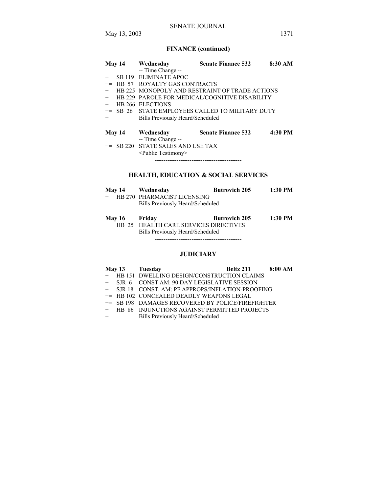May 13, 2003 1371

# **FINANCE (continued)**

| <b>May 14</b>  | Wednesday                                                 | <b>Senate Finance 532</b>                      | 8:30 AM |  |
|----------------|-----------------------------------------------------------|------------------------------------------------|---------|--|
|                | -- Time Change --                                         |                                                |         |  |
| $^{+}$         | SB 119 ELIMINATE APOC                                     |                                                |         |  |
| $+=$           | <b>HB 57 ROYALTY GAS CONTRACTS</b>                        |                                                |         |  |
| $+$            |                                                           | HB 225 MONOPOLY AND RESTRAINT OF TRADE ACTIONS |         |  |
| HB 229<br>$+=$ | PAROLE FOR MEDICAL/COGNITIVE DISABILITY                   |                                                |         |  |
| $+$            | HB 266 ELECTIONS                                          |                                                |         |  |
| $+=$           |                                                           | SB 26 STATE EMPLOYEES CALLED TO MILITARY DUTY  |         |  |
| $+$            | Bills Previously Heard/Scheduled                          |                                                |         |  |
| May 14         | Wednesday<br>-- Time Change --                            | <b>Senate Finance 532</b>                      | 4:30 PM |  |
| $+=$           | SB 220 STATE SALES AND USE TAX<br>$\le$ Public Testimony> |                                                |         |  |
|                |                                                           | HEALTH, EDUCATION & SOCIAL SERVICES            |         |  |

#### **HEALTH, EDUCATION & SOCIAL SERVICES**

|               | May 14 Wednesday                        | <b>Butrovich 205</b> | 1:30 PM   |
|---------------|-----------------------------------------|----------------------|-----------|
|               | + HB 270 PHARMACIST LICENSING           |                      |           |
|               | Bills Previously Heard/Scheduled        |                      |           |
| May 16 Friday |                                         | <b>Butrovich 205</b> | $1:30$ PM |
|               | + HB 25 HEALTH CARE SERVICES DIRECTIVES |                      |           |

+ HB 25 HEALTH CARE SERVICES DIRECTIVES Bills Previously Heard/Scheduled ----------------------------------------

# **JUDICIARY**

|     | May 13 Tuesday                                    | <b>Beltz 211</b> 8:00 AM |  |
|-----|---------------------------------------------------|--------------------------|--|
|     | + HB 151 DWELLING DESIGN/CONSTRUCTION CLAIMS      |                          |  |
|     | + SJR 6 CONST AM: 90 DAY LEGISLATIVE SESSION      |                          |  |
|     | + SJR 18 CONST. AM: PF APPROPS/INFLATION-PROOFING |                          |  |
|     | += HB 102 CONCEALED DEADLY WEAPONS LEGAL          |                          |  |
|     | += SB 198 DAMAGES RECOVERED BY POLICE/FIREFIGHTER |                          |  |
|     | += HB 86 INJUNCTIONS AGAINST PERMITTED PROJECTS   |                          |  |
| $+$ | Bills Previously Heard/Scheduled                  |                          |  |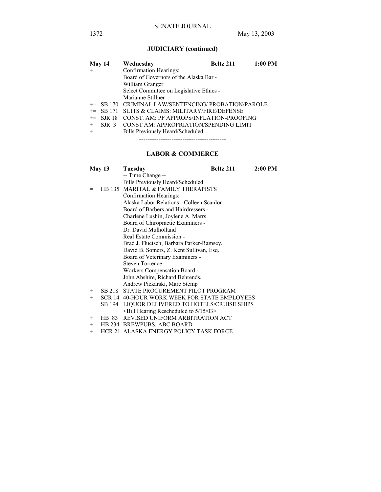# **JUDICIARY (continued)**

| <b>May 14</b> |             | Wednesday                                           | Beltz 211 | $1:00$ PM |
|---------------|-------------|-----------------------------------------------------|-----------|-----------|
| $+$           |             | Confirmation Hearings:                              |           |           |
|               |             | Board of Governors of the Alaska Bar -              |           |           |
|               |             | William Granger                                     |           |           |
|               |             | Select Committee on Legislative Ethics -            |           |           |
|               |             | Marianne Stillner                                   |           |           |
|               |             | += SB 170 CRIMINAL LAW/SENTENCING/ PROBATION/PAROLE |           |           |
|               | $+=$ SB 171 | SUITS & CLAIMS: MILITARY/FIRE/DEFENSE               |           |           |
|               | $+=$ SJR 18 | CONST. AM: PF APPROPS/INFLATION-PROOFING            |           |           |
|               |             | += SJR 3 CONST AM: APPROPRIATION/SPENDING LIMIT     |           |           |
| $+$           |             | Bills Previously Heard/Scheduled                    |           |           |
|               |             |                                                     |           |           |

## **LABOR & COMMERCE**

|        | <b>May 13</b> | Tuesday                                        | <b>Beltz 211</b> | 2:00 PM |
|--------|---------------|------------------------------------------------|------------------|---------|
|        |               | -- Time Change --                              |                  |         |
|        |               | Bills Previously Heard/Scheduled               |                  |         |
| $=$    |               | HB 135 MARITAL & FAMILY THERAPISTS             |                  |         |
|        |               | Confirmation Hearings:                         |                  |         |
|        |               | Alaska Labor Relations - Colleen Scanlon       |                  |         |
|        |               | Board of Barbers and Hairdressers -            |                  |         |
|        |               | Charlene Lushin, Joylene A. Marrs              |                  |         |
|        |               | Board of Chiropractic Examiners -              |                  |         |
|        |               | Dr. David Mulholland                           |                  |         |
|        |               | Real Estate Commission -                       |                  |         |
|        |               | Brad J. Fluetsch, Barbara Parker-Ramsey,       |                  |         |
|        |               | David B. Somers, Z. Kent Sullivan, Esq.        |                  |         |
|        |               | Board of Veterinary Examiners -                |                  |         |
|        |               | <b>Steven Torrence</b>                         |                  |         |
|        |               | Workers Compensation Board -                   |                  |         |
|        |               | John Abshire, Richard Behrends,                |                  |         |
|        |               | Andrew Piekarski, Marc Stemp                   |                  |         |
| $+$    | SB 218        | STATE PROCUREMENT PILOT PROGRAM                |                  |         |
| $^{+}$ |               | SCR 14 40-HOUR WORK WEEK FOR STATE EMPLOYEES   |                  |         |
|        | SB 194        | LIQUOR DELIVERED TO HOTELS/CRUISE SHIPS        |                  |         |
|        |               | $\leq$ Bill Hearing Rescheduled to 5/15/03 $>$ |                  |         |

- + HB 83 REVISED UNIFORM ARBITRATION ACT
- + HB 234 BREWPUBS; ABC BOARD
- + HCR 21 ALASKA ENERGY POLICY TASK FORCE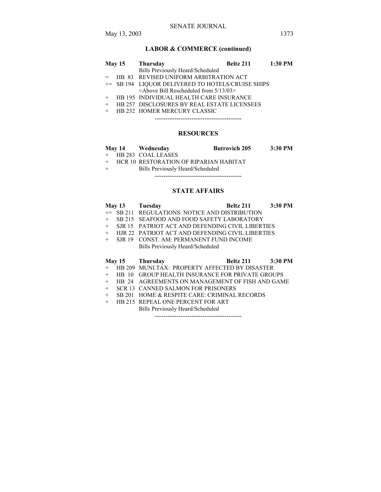# **LABOR & COMMERCE (continued)**

|  | May 15 Thursday                                    | <b>Beltz 211</b> 1:30 PM |  |
|--|----------------------------------------------------|--------------------------|--|
|  | Bills Previously Heard/Scheduled                   |                          |  |
|  | = HB 83 REVISED UNIFORM ARBITRATION ACT            |                          |  |
|  | += SB 194 LIQUOR DELIVERED TO HOTELS/CRUISE SHIPS  |                          |  |
|  | $\leq$ Above Bill Rescheduled from $5/13/03$       |                          |  |
|  | + HB 195 INDIVIDUAL HEALTH CARE INSURANCE          |                          |  |
|  | <b>HB 257 DISCLOSURES BY REAL ESTATE LICENSEES</b> |                          |  |
|  | <b>HB 232 HOMER MERCURY CLASSIC</b>                |                          |  |
|  |                                                    |                          |  |

# **RESOURCES**

| <b>May 14</b> | Wednesday            | <b>Butrovich 205</b>                   | 3:30 PM |
|---------------|----------------------|----------------------------------------|---------|
|               | + HB 283 COAL LEASES |                                        |         |
|               |                      | HCR 10 RESTORATION OF RIPARIAN HABITAT |         |

+ Bills Previously Heard/Scheduled

----------------------------------------

### **STATE AFFAIRS**

|        |               | May 13 Tuesday                                   | Beltz 211 | 3:30 PM   |
|--------|---------------|--------------------------------------------------|-----------|-----------|
|        |               | += SB 211 REGULATIONS: NOTICE AND DISTRIBUTION   |           |           |
| $+$    |               | SB 215 SEAFOOD AND FOOD SAFETY LABORATORY        |           |           |
| $+$    |               | SJR 15 PATRIOT ACT AND DEFENDING CIVIL LIBERTIES |           |           |
| $+$    |               | HJR 22 PATRIOT ACT AND DEFENDING CIVIL LIBERTIES |           |           |
| $^{+}$ | SJR 19        | <b>CONST. AM: PERMANENT FUND INCOME</b>          |           |           |
|        |               | Bills Previously Heard/Scheduled                 |           |           |
|        |               |                                                  |           |           |
|        |               | May 15 Thursday                                  | Beltz 211 | $3:30$ PM |
| $+$    |               | HB 209 MUNLTAX: PROPERTY AFFECTED BY DISASTER    |           |           |
| $^{+}$ | -10<br>HR.    | <b>GROUP HEALTH INSURANCE FOR PRIVATE GROUPS</b> |           |           |
| $^{+}$ | HB 24         | AGREEMENTS ON MANAGEMENT OF FISH AND GAME        |           |           |
| $^{+}$ | <b>SCR 13</b> | <b>CANNED SALMON FOR PRISONERS</b>               |           |           |

- + SB 201 HOME & RESPITE CARE: CRIMINAL RECORDS
- + HB 215 REPEAL ONE PERCENT FOR ART

Bills Previously Heard/Scheduled

----------------------------------------